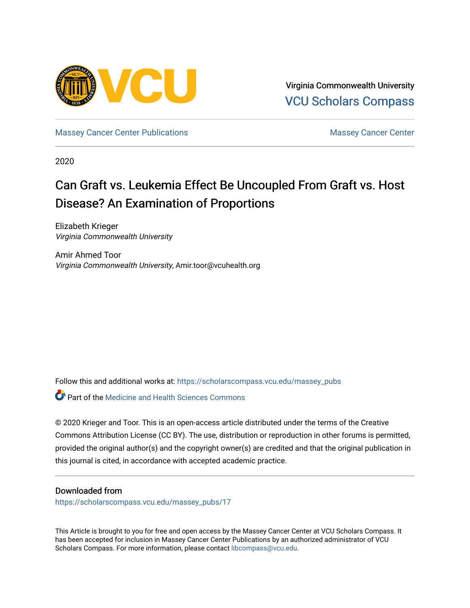

Virginia Commonwealth University [VCU Scholars Compass](https://scholarscompass.vcu.edu/) 

[Massey Cancer Center Publications](https://scholarscompass.vcu.edu/massey_pubs) Massey Cancer Center

2020

## Can Graft vs. Leukemia Effect Be Uncoupled From Graft vs. Host Disease? An Examination of Proportions

Elizabeth Krieger Virginia Commonwealth University

Amir Ahmed Toor Virginia Commonwealth University, Amir.toor@vcuhealth.org

Follow this and additional works at: [https://scholarscompass.vcu.edu/massey\\_pubs](https://scholarscompass.vcu.edu/massey_pubs?utm_source=scholarscompass.vcu.edu%2Fmassey_pubs%2F17&utm_medium=PDF&utm_campaign=PDFCoverPages)  **C** Part of the Medicine and Health Sciences Commons

© 2020 Krieger and Toor. This is an open-access article distributed under the terms of the Creative Commons Attribution License (CC BY). The use, distribution or reproduction in other forums is permitted, provided the original author(s) and the copyright owner(s) are credited and that the original publication in this journal is cited, in accordance with accepted academic practice.

## Downloaded from

[https://scholarscompass.vcu.edu/massey\\_pubs/17](https://scholarscompass.vcu.edu/massey_pubs/17?utm_source=scholarscompass.vcu.edu%2Fmassey_pubs%2F17&utm_medium=PDF&utm_campaign=PDFCoverPages)

This Article is brought to you for free and open access by the Massey Cancer Center at VCU Scholars Compass. It has been accepted for inclusion in Massey Cancer Center Publications by an authorized administrator of VCU Scholars Compass. For more information, please contact [libcompass@vcu.edu](mailto:libcompass@vcu.edu).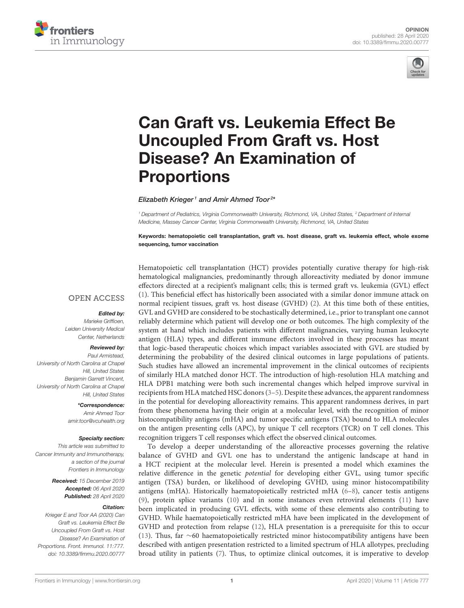



# [Can Graft vs. Leukemia Effect Be](https://www.frontiersin.org/articles/10.3389/fimmu.2020.00777/full) Uncoupled From Graft vs. Host Disease? An Examination of **Proportions**

[Elizabeth Krieger](http://loop.frontiersin.org/people/870351/overview)1 and [Amir Ahmed Toor](http://loop.frontiersin.org/people/61981/overview) $^{2\star}$ 

*<sup>1</sup> Department of Pediatrics, Virginia Commonwealth University, Richmond, VA, United States, <sup>2</sup> Department of Internal Medicine, Massey Cancer Center, Virginia Commonwealth University, Richmond, VA, United States*

Keywords: hematopoietic cell transplantation, graft vs. host disease, graft vs. leukemia effect, whole exome sequencing, tumor vaccination

## **OPEN ACCESS**

#### Edited by:

*Marieke Griffioen, Leiden University Medical Center, Netherlands*

### Reviewed by:

*Paul Armistead, University of North Carolina at Chapel Hill, United States Benjamin Garrett Vincent, University of North Carolina at Chapel Hill, United States*

> \*Correspondence: *Amir Ahmed Toor*

*[amir.toor@vcuhealth.org](mailto:amir.toor@vcuhealth.org)*

#### Specialty section:

*This article was submitted to Cancer Immunity and Immunotherapy, a section of the journal Frontiers in Immunology*

> Received: *15 December 2019* Accepted: *06 April 2020* Published: *28 April 2020*

#### Citation:

*Krieger E and Toor AA (2020) Can Graft vs. Leukemia Effect Be Uncoupled From Graft vs. Host Disease? An Examination of Proportions. Front. Immunol. 11:777. doi: [10.3389/fimmu.2020.00777](https://doi.org/10.3389/fimmu.2020.00777)*

Hematopoietic cell transplantation (HCT) provides potentially curative therapy for high-risk hematological malignancies, predominantly through alloreactivity mediated by donor immune effectors directed at a recipient's malignant cells; this is termed graft vs. leukemia (GVL) effect [\(1\)](#page-6-0). This beneficial effect has historically been associated with a similar donor immune attack on normal recipient tissues, graft vs. host disease (GVHD) [\(2\)](#page-6-1). At this time both of these entities, GVL and GVHD are considered to be stochastically determined, i.e., prior to transplant one cannot reliably determine which patient will develop one or both outcomes. The high complexity of the system at hand which includes patients with different malignancies, varying human leukocyte antigen (HLA) types, and different immune effectors involved in these processes has meant that logic-based therapeutic choices which impact variables associated with GVL are studied by determining the probability of the desired clinical outcomes in large populations of patients. Such studies have allowed an incremental improvement in the clinical outcomes of recipients of similarly HLA matched donor HCT. The introduction of high-resolution HLA matching and HLA DPB1 matching were both such incremental changes which helped improve survival in recipients from HLA matched HSC donors [\(3](#page-6-2)[–5\)](#page-6-3). Despite these advances, the apparent randomness in the potential for developing alloreactivity remains. This apparent randomness derives, in part from these phenomena having their origin at a molecular level, with the recognition of minor histocompatibility antigens (mHA) and tumor specific antigens (TSA) bound to HLA molecules on the antigen presenting cells (APC), by unique T cell receptors (TCR) on T cell clones. This recognition triggers T cell responses which effect the observed clinical outcomes.

To develop a deeper understanding of the alloreactive processes governing the relative balance of GVHD and GVL one has to understand the antigenic landscape at hand in a HCT recipient at the molecular level. Herein is presented a model which examines the relative difference in the genetic potential for developing either GVL, using tumor specific antigen (TSA) burden, or likelihood of developing GVHD, using minor histocompatibility antigens (mHA). Historically haematopoietically restricted mHA [\(6](#page-6-4)[–8\)](#page-6-5), cancer testis antigens [\(9\)](#page-6-6), protein splice variants [\(10\)](#page-6-7) and in some instances even retroviral elements [\(11\)](#page-6-8) have been implicated in producing GVL effects, with some of these elements also contributing to GVHD. While haematopoietically restricted mHA have been implicated in the development of GVHD and protection from relapse [\(12\)](#page-6-9), HLA presentation is a prerequisite for this to occur [\(13\)](#page-6-10). Thus, far ∼60 haematopoietically restricted minor histocompatibility antigens have been described with antigen presentation restricted to a limited spectrum of HLA allotypes, precluding broad utility in patients [\(7\)](#page-6-11). Thus, to optimize clinical outcomes, it is imperative to develop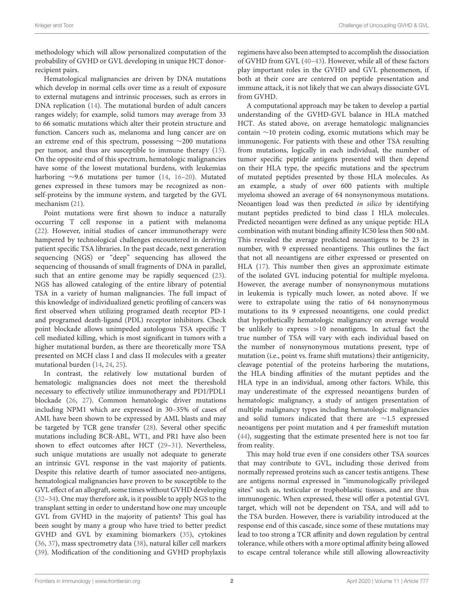methodology which will allow personalized computation of the probability of GVHD or GVL developing in unique HCT donorrecipient pairs.

Hematological malignancies are driven by DNA mutations which develop in normal cells over time as a result of exposure to external mutagens and intrinsic processes, such as errors in DNA replication [\(14\)](#page-7-0). The mutational burden of adult cancers ranges widely; for example, solid tumors may average from 33 to 66 somatic mutations which alter their protein structure and function. Cancers such as, melanoma and lung cancer are on an extreme end of this spectrum, possessing ∼200 mutations per tumor, and thus are susceptible to immune therapy [\(15\)](#page-7-1). On the opposite end of this spectrum, hematologic malignancies have some of the lowest mutational burdens, with leukemias harboring ∼9.6 mutations per tumor [\(14,](#page-7-0) [16–](#page-7-2)[20\)](#page-7-3). Mutated genes expressed in these tumors may be recognized as nonself-proteins by the immune system, and targeted by the GVL mechanism [\(21\)](#page-7-4).

Point mutations were first shown to induce a naturally occurring T cell response in a patient with melanoma [\(22\)](#page-7-5). However, initial studies of cancer immunotherapy were hampered by technological challenges encountered in deriving patient specific TSA libraries. In the past decade, next generation sequencing (NGS) or "deep" sequencing has allowed the sequencing of thousands of small fragments of DNA in parallel, such that an entire genome may be rapidly sequenced [\(23\)](#page-7-6). NGS has allowed cataloging of the entire library of potential TSA in a variety of human malignancies. The full impact of this knowledge of individualized genetic profiling of cancers was first observed when utilizing programed death receptor PD-1 and programed death-ligand (PDL) receptor inhibitors. Check point blockade allows unimpeded autologous TSA specific T cell mediated killing, which is most significant in tumors with a higher mutational burden, as there are theoretically more TSA presented on MCH class I and class II molecules with a greater mutational burden [\(14,](#page-7-0) [24,](#page-7-7) [25\)](#page-7-8).

In contrast, the relatively low mutational burden of hematologic malignancies does not meet the thereshold necessary to effectively utilize immunotherapy and PD1/PDL1 blockade [\(26,](#page-7-9) [27\)](#page-7-10). Common hematologic driver mutations including NPM1 which are expressed in 30–35% of cases of AML have been shown to be expressed by AML blasts and may be targeted by TCR gene transfer [\(28\)](#page-7-11). Several other specific mutations including BCR-ABL, WT1, and PR1 have also been shown to effect outcomes after HCT [\(29–](#page-7-12)[31\)](#page-7-13). Nevertheless, such unique mutations are usually not adequate to generate an intrinsic GVL response in the vast majority of patients. Despite this relative dearth of tumor associated neo-antigens, hematological malignancies have proven to be susceptible to the GVL effect of an allograft, some times without GVHD developing [\(32](#page-7-14)[–34\)](#page-7-15). One may therefore ask, is it possible to apply NGS to the transplant setting in order to understand how one may uncouple GVL from GVHD in the majority of patients? This goal has been sought by many a group who have tried to better predict GVHD and GVL by examining biomarkers [\(35\)](#page-7-16), cytokines [\(36,](#page-7-17) [37\)](#page-7-18), mass spectrometry data [\(38\)](#page-7-19), natural killer cell markers [\(39\)](#page-7-20). Modification of the conditioning and GVHD prophylaxis regimens have also been attempted to accomplish the dissociation of GVHD from GVL [\(40](#page-7-21)[–43\)](#page-7-22). However, while all of these factors play important roles in the GVHD and GVL phenomenon, if both at their core are centered on peptide presentation and immune attack, it is not likely that we can always dissociate GVL from GVHD.

A computational approach may be taken to develop a partial understanding of the GVHD-GVL balance in HLA matched HCT. As stated above, on average hematologic malignancies contain ∼10 protein coding, exomic mutations which may be immunogenic. For patients with these and other TSA resulting from mutations, logically in each individual, the number of tumor specific peptide antigens presented will then depend on their HLA type, the specific mutations and the spectrum of mutated peptides presented by those HLA molecules. As an example, a study of over 600 patients with multiple myeloma showed an average of 64 nonsynonymous mutations. Neoantigen load was then predicted in silico by identifying mutant peptides predicted to bind class I HLA molecules. Predicted neoantigen were defined as any unique peptide: HLA combination with mutant binding affinity IC50 less then 500 nM. This revealed the average predicted neoantigens to be 23 in number, with 9 expressed neoantigens. This outlines the fact that not all neoantigens are either expressed or presented on HLA [\(17\)](#page-7-23). This number then gives an approximate estimate of the isolated GVL inducing potential for multiple myeloma. However, the average number of nonsynonymous mutations in leukemia is typically much lower, as noted above. If we were to extrapolate using the ratio of 64 nonsynonymous mutations to its 9 expressed neoantigens, one could predict that hypothetically hematologic malignancy on average would be unlikely to express >10 neoantigens. In actual fact the true number of TSA will vary with each individual based on the number of nonsynonymous mutations present, type of mutation (i.e., point vs. frame shift mutations) their antigenicity, cleavage potential of the proteins harboring the mutations, the HLA binding affinities of the mutant peptides and the HLA type in an individual, among other factors. While, this may underestimate of the expressed neoantigens burden of hematologic malignancy, a study of antigen presentation of multiple malignancy types including hematologic malignancies and solid tumors indicated that there are ∼1.5 expressed neoantigens per point mutation and 4 per frameshift mutation [\(44\)](#page-7-24), suggesting that the estimate presented here is not too far from reality.

This may hold true even if one considers other TSA sources that may contribute to GVL, including those derived from normally repressed proteins such as cancer testis antigens. These are antigens normal expressed in "immunologically privileged sites" such as, testicular or trophoblastic tissues, and are thus immunogenic. When expressed, these will offer a potential GVL target, which will not be dependent on TSA, and will add to the TSA burden. However, there is variability introduced at the response end of this cascade, since some of these mutations may lead to too strong a TCR affinity and down regulation by central tolerance, while others with a more optimal affinity being allowed to escape central tolerance while still allowing allowreactivity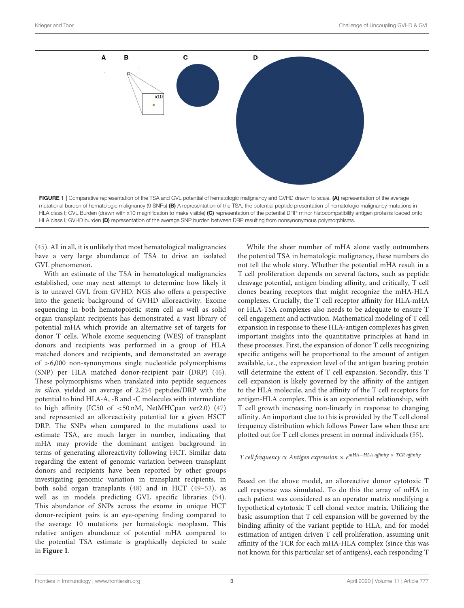

<span id="page-3-0"></span>[\(45\)](#page-7-25). All in all, it is unlikely that most hematological malignancies have a very large abundance of TSA to drive an isolated GVL phenomenon.

With an estimate of the TSA in hematological malignancies established, one may next attempt to determine how likely it is to unravel GVL from GVHD. NGS also offers a perspective into the genetic background of GVHD alloreactivity. Exome sequencing in both hematopoietic stem cell as well as solid organ transplant recipients has demonstrated a vast library of potential mHA which provide an alternative set of targets for donor T cells. Whole exome sequencing (WES) of transplant donors and recipients was performed in a group of HLA matched donors and recipients, and demonstrated an average of >6,000 non-synonymous single nucleotide polymorphisms (SNP) per HLA matched donor-recipient pair (DRP) [\(46\)](#page-7-26). These polymorphisms when translated into peptide sequences in silico, yielded an average of 2,254 peptides/DRP with the potential to bind HLA-A, -B and -C molecules with intermediate to high affinity (IC50 of <50 nM, NetMHCpan ver2.0) [\(47\)](#page-7-27) and represented an alloreactivity potential for a given HSCT DRP. The SNPs when compared to the mutations used to estimate TSA, are much larger in number, indicating that mHA may provide the dominant antigen background in terms of generating alloreactivity following HCT. Similar data regarding the extent of genomic variation between transplant donors and recipients have been reported by other groups investigating genomic variation in transplant recipients, in both solid organ transplants [\(48\)](#page-7-28) and in HCT [\(49–](#page-7-29)[53\)](#page-8-0), as well as in models predicting GVL specific libraries [\(54\)](#page-8-1). This abundance of SNPs across the exome in unique HCT donor-recipient pairs is an eye-opening finding compared to the average 10 mutations per hematologic neoplasm. This relative antigen abundance of potential mHA compared to the potential TSA estimate is graphically depicted to scale in **[Figure 1](#page-3-0)**.

While the sheer number of mHA alone vastly outnumbers the potential TSA in hematologic malignancy, these numbers do not tell the whole story. Whether the potential mHA result in a T cell proliferation depends on several factors, such as peptide cleavage potential, antigen binding affinity, and critically, T cell clones bearing receptors that might recognize the mHA-HLA complexes. Crucially, the T cell receptor affinity for HLA-mHA or HLA-TSA complexes also needs to be adequate to ensure T cell engagement and activation. Mathematical modeling of T cell expansion in response to these HLA-antigen complexes has given important insights into the quantitative principles at hand in these processes. First, the expansion of donor T cells recognizing specific antigens will be proportional to the amount of antigen available, i.e., the expression level of the antigen bearing protein will determine the extent of T cell expansion. Secondly, this T cell expansion is likely governed by the affinity of the antigen to the HLA molecule, and the affinity of the T cell receptors for antigen-HLA complex. This is an exponential relationship, with T cell growth increasing non-linearly in response to changing affinity. An important clue to this is provided by the T cell clonal frequency distribution which follows Power Law when these are plotted out for T cell clones present in normal individuals [\(55\)](#page-8-2).

## T cell frequency  $\propto$  Antigen expression  $\times e^{mHA-HLA}$  affinity  $\times$  TCR affinity

Based on the above model, an alloreactive donor cytotoxic T cell response was simulated. To do this the array of mHA in each patient was considered as an operator matrix modifying a hypothetical cytotoxic T cell clonal vector matrix. Utilizing the basic assumption that T cell expansion will be governed by the binding affinity of the variant peptide to HLA, and for model estimation of antigen driven T cell proliferation, assuming unit affinity of the TCR for each mHA-HLA complex (since this was not known for this particular set of antigens), each responding T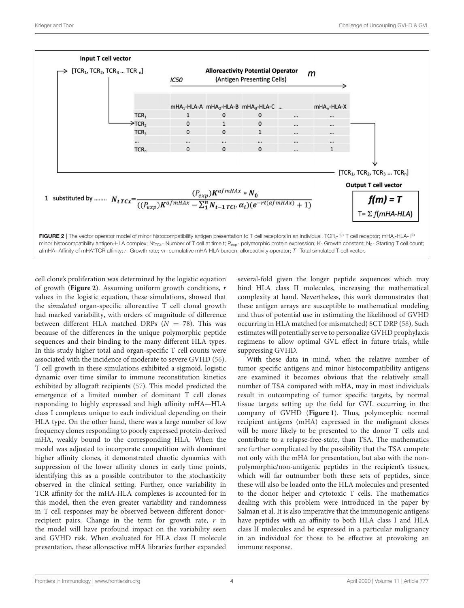

<span id="page-4-0"></span>cell clone's proliferation was determined by the logistic equation of growth (**[Figure 2](#page-4-0)**). Assuming uniform growth conditions, r values in the logistic equation, these simulations, showed that the simulated organ-specific alloreactive T cell clonal growth had marked variability, with orders of magnitude of difference between different HLA matched DRPs ( $N = 78$ ). This was because of the differences in the unique polymorphic peptide sequences and their binding to the many different HLA types. In this study higher total and organ-specific T cell counts were associated with the incidence of moderate to severe GVHD [\(56\)](#page-8-3). T cell growth in these simulations exhibited a sigmoid, logistic dynamic over time similar to immune reconstitution kinetics exhibited by allograft recipients [\(57\)](#page-8-4). This model predicted the emergence of a limited number of dominant T cell clones responding to highly expressed and high affinity mHA—HLA class I complexes unique to each individual depending on their HLA type. On the other hand, there was a large number of low frequency clones responding to poorly expressed protein-derived mHA, weakly bound to the corresponding HLA. When the model was adjusted to incorporate competition with dominant higher affinity clones, it demonstrated chaotic dynamics with suppression of the lower affinity clones in early time points, identifying this as a possible contributor to the stochasticity observed in the clinical setting. Further, once variability in TCR affinity for the mHA-HLA complexes is accounted for in this model, then the even greater variability and randomness in T cell responses may be observed between different donorrecipient pairs. Change in the term for growth rate,  $r$  in the model will have profound impact on the variability seen and GVHD risk. When evaluated for HLA class II molecule presentation, these alloreactive mHA libraries further expanded several-fold given the longer peptide sequences which may bind HLA class II molecules, increasing the mathematical complexity at hand. Nevertheless, this work demonstrates that these antigen arrays are susceptible to mathematical modeling and thus of potential use in estimating the likelihood of GVHD occurring in HLA matched (or mismatched) SCT DRP [\(58\)](#page-8-5). Such estimates will potentially serve to personalize GVHD prophylaxis regimens to allow optimal GVL effect in future trials, while suppressing GVHD.

With these data in mind, when the relative number of tumor specific antigens and minor histocompatibility antigens are examined it becomes obvious that the relatively small number of TSA compared with mHA, may in most individuals result in outcompeting of tumor specific targets, by normal tissue targets setting up the field for GVL occurring in the company of GVHD (**[Figure 1](#page-3-0)**). Thus, polymorphic normal recipient antigens (mHA) expressed in the malignant clones will be more likely to be presented to the donor T cells and contribute to a relapse-free-state, than TSA. The mathematics are further complicated by the possibility that the TSA compete not only with the mHA for presentation, but also with the nonpolymorphic/non-antigenic peptides in the recipient's tissues, which will far outnumber both these sets of peptides, since these will also be loaded onto the HLA molecules and presented to the donor helper and cytotoxic T cells. The mathematics dealing with this problem were introduced in the paper by Salman et al. It is also imperative that the immunogenic antigens have peptides with an affinity to both HLA class I and HLA class II molecules and be expressed in a particular malignancy in an individual for those to be effective at provoking an immune response.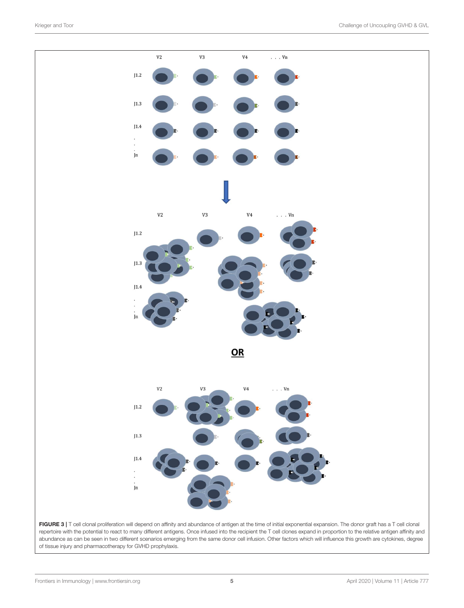<span id="page-5-0"></span>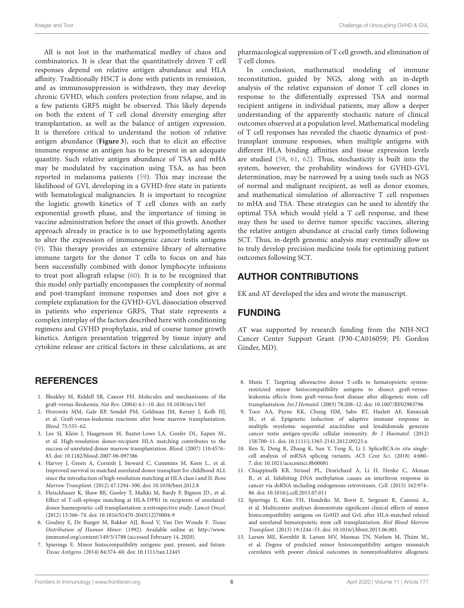All is not lost in the mathematical medley of chaos and combinatorics. It is clear that the quantitatively driven T cell responses depend on relative antigen abundance and HLA affinity. Traditionally HSCT is done with patients in remission, and as immunosuppression is withdrawn, they may develop chronic GVHD, which confers protection from relapse, and in a few patients GRFS might be observed. This likely depends on both the extent of T cell clonal diversity emerging after transplantation, as well as the balance of antigen expression. It is therefore critical to understand the notion of relative antigen abundance (**[Figure 3](#page-5-0)**), such that to elicit an effective immune response an antigen has to be present in an adequate quantity. Such relative antigen abundance of TSA and mHA may be modulated by vaccination using TSA, as has been reported in melanoma patients [\(59\)](#page-8-6). This may increase the likelihood of GVL developing in a GVHD-free state in patients with hematological malignancies. It is important to recognize the logistic growth kinetics of T cell clones with an early exponential growth phase, and the importance of timing in vaccine administration before the onset of this growth. Another approach already in practice is to use hypomethylating agents to alter the expression of immunogenic cancer testis antigens [\(9\)](#page-6-6). This therapy provides an extensive library of alternative immune targets for the donor T cells to focus on and has been successfully combined with donor lymphocyte infusions to treat post allograft relapse [\(60\)](#page-8-7). It is to be recognized that this model only partially encompasses the complexity of normal and post-transplant immune responses and does not give a complete explanation for the GVHD-GVL dissociation observed in patients who experience GRFS, That state represents a complex interplay of the factors described here with conditioning regimens and GVHD prophylaxis, and of course tumor growth kinetics. Antigen presentation triggered by tissue injury and cytokine release are critical factors in these calculations, as are

## **REFERENCES**

- <span id="page-6-0"></span>1. Bleakley M, Riddell SR, Cancer FH. Molecules and mechanisums of the graft-versus-lleukemia. Nat Rev. (2004) 4:1–10. doi: [10.1038/nrc1365](https://doi.org/10.1038/nrc1365)
- <span id="page-6-1"></span>2. Horowitz MM, Gale RP, Sondel PM, Goldman JM, Kersey J, Kolb HJ, et al. Graft-versus-leukemia reactions after bone marrow transplantation. Blood. 75:555–62.
- <span id="page-6-2"></span>3. Lee SJ, Klein J, Haagenson M, Baxter-Lowe LA, Confer DL, Eapen M., et al. High-resolution donor-recipient HLA matching contributes to the success of unrelated donor marrow transplantation. Blood. (2007) 110:4576– 83. doi: [10.1182/blood-2007-06-097386](https://doi.org/10.1182/blood-2007-06-097386)
- 4. Harvey J, Green A, Cornish J, Steward C, Cummins M, Keen L., et al. Improved survival in matched unrelated donor transplant for childhood ALL since the introduction of high-resolution matching at HLA class i and II. Bone Marrow Transplant. (2012) 47:1294–300. doi: [10.1038/bmt.2012.8](https://doi.org/10.1038/bmt.2012.8)
- <span id="page-6-3"></span>5. Fleischhauer K, Shaw BE, Gooley T, Malkki M, Bardy P, Bignon JD., et al. Effect of T-cell-epitope matching at HLA-DPB1 in recipients of unrelateddonor haemopoietic-cell transplantation: a retrospective study. Lancet Oncol. (2012) 13:366–74. doi: [10.1016/S1470-2045\(12\)70004-9](https://doi.org/10.1016/S1470-2045(12)70004-9)
- <span id="page-6-4"></span>6. Goulmy E, De Bueger M, Bakker AJJ, Rood V, Van Der Woude F. Tissue Distribution of Human Minor. (1992). Available online at: [http://www.](http://www.jimmunol.org/content/149/5/1788) [jimmunol.org/content/149/5/1788](http://www.jimmunol.org/content/149/5/1788) (accessed February 14, 2020).
- <span id="page-6-11"></span>7. Spierings E. Minor histocompatibility antigens: past, present, and future. Tissue Antigens. (2014) 84:374–60. doi: [10.1111/tan.12445](https://doi.org/10.1111/tan.12445)

pharmacological suppression of T cell growth, and elimination of T cell clones.

In conclusion, mathematical modeling of immune reconstitution, guided by NGS, along with an in-depth analysis of the relative expansion of donor T cell clones in response to the differentially expressed TSA and normal recipient antigens in individual patients, may allow a deeper understanding of the apparently stochastic nature of clinical outcomes observed at a population level. Mathematical modeling of T cell responses has revealed the chaotic dynamics of posttransplant immune responses, when multiple antigens with different HLA binding affinities and tissue expression levels are studied [\(58,](#page-8-5) [61,](#page-8-8) [62\)](#page-8-9). Thus, stochasticity is built into the system, however, the probability windows for GVHD-GVL determination, may be narrowed by a using tools such as NGS of normal and malignant recipient, as well as donor exomes, and mathematical simulation of alloreactive T cell responses to mHA and TSA. These strategies can be used to identify the optimal TSA which would yield a T cell response, and these may then be used to derive tumor specific vaccines, altering the relative antigen abundance at crucial early times following SCT. Thus, in-depth genomic analysis may eventually allow us to truly develop precision medicine tools for optimizing patient outcomes following SCT.

## AUTHOR CONTRIBUTIONS

EK and AT developed the idea and wrote the manuscript.

## FUNDING

AT was supported by research funding from the NIH-NCI Cancer Center Support Grant (P30-CA016059; PI: Gordon Ginder, MD).

- <span id="page-6-5"></span>8. Mutis T. Targeting alloreactive donor T-cells to hematopoietic systemrestricted minor histocompatibility antigens to dissect graft-versusleukemia effects from graft-versus-host disease after allogeneic stem cell transplantation. Int J Hematol. (2003) 78:208–12. doi: [10.1007/BF02983796](https://doi.org/10.1007/BF02983796)
- <span id="page-6-6"></span>9. Toor AA, Payne KK, Chung HM, Sabo RT, Hazlett AF, Kmieciak M., et al. Epigenetic induction of adaptive immune response in multiple myeloma: sequential azacitidine and lenalidomide generate cancer testis antigen-specific cellular immunity. Br J Haematol. (2012) 158:700–11. doi: [10.1111/j.1365-2141.2012.09225.x](https://doi.org/10.1111/j.1365-2141.2012.09225.x)
- <span id="page-6-7"></span>10. Ren X, Deng R, Zhang K, Sun Y, Teng X, Li J. SpliceRCA:in situ singlecell analysis of mRNA splicing variants. ACS Cent Sci. (2018) 4:680– 7. doi: [10.1021/acscentsci.8b00081](https://doi.org/10.1021/acscentsci.8b00081)
- <span id="page-6-8"></span>11. Chiappinelli KB, Strissel PL, Desrichard A, Li H, Henke C, Akman B., et al. Inhibiting DNA methylation causes an interferon response in cancer via dsRNA including endogenous retroviruses. Cell. (2015) 162:974– 86. doi: [10.1016/j.cell.2015.07.011](https://doi.org/10.1016/j.cell.2015.07.011)
- <span id="page-6-9"></span>12. Spierings E, Kim YH, Hendriks M, Borst E, Sergeant R, Canossi A., et al. Multicenter analyses demonstrate significant clinical effects of minor histocompatibility antigens on GvHD and GvL after HLA-matched related and unrelated hematopoietic stem cell transplantation. Biol Blood Marrow Transplant. (2013) 19:1244–53. doi: [10.1016/j.bbmt.2013.06.001](https://doi.org/10.1016/j.bbmt.2013.06.001)
- <span id="page-6-10"></span>13. Larsen ME, Kornblit B, Larsen MV, Masmas TN, Nielsen M, Thiim M., et al. Degree of predicted minor histocompatibility antigen mismatch correlates with poorer clinical outcomes in nonmyeloablative allogeneic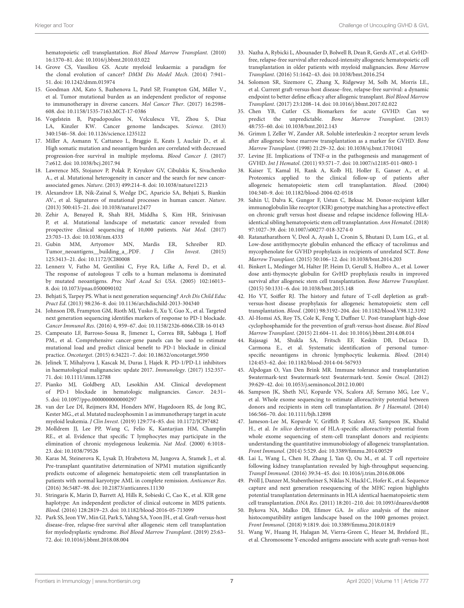hematopoietic cell transplantation. Biol Blood Marrow Transplant. (2010) 16:1370–81. doi: [10.1016/j.bbmt.2010.03.022](https://doi.org/10.1016/j.bbmt.2010.03.022)

- <span id="page-7-0"></span>14. Grove CS, Vassiliou GS. Acute myeloid leukaemia: a paradigm for the clonal evolution of cancer? DMM Dis Model Mech. (2014) 7:941– 51. doi: [10.1242/dmm.015974](https://doi.org/10.1242/dmm.015974)
- <span id="page-7-1"></span>15. Goodman AM, Kato S, Bazhenova L, Patel SP, Frampton GM, Miller V., et al. Tumor mutational burden as an independent predictor of response to immunotherapy in diverse cancers. Mol Cancer Ther. (2017) 16:2598– 608. doi: [10.1158/1535-7163.MCT-17-0386](https://doi.org/10.1158/1535-7163.MCT-17-0386)
- <span id="page-7-2"></span>16. Vogelstein B, Papadopoulos N, Velculescu VE, Zhou S, Diaz LA, Kinzler KW. Cancer genome landscapes. Science. (2013) 340:1546–58. doi: [10.1126/science.1235122](https://doi.org/10.1126/science.1235122)
- <span id="page-7-23"></span>17. Miller A, Asmann Y, Cattaneo L, Braggio E, Keats J, Auclair D., et al. High somatic mutation and neoantigen burden are correlated with decreased progression-free survival in multiple myeloma. Blood Cancer J. (2017) 7:e612. doi: [10.1038/bcj.2017.94](https://doi.org/10.1038/bcj.2017.94)
- 18. Lawrence MS, Stojanov P, Polak P, Kryukov GV, Cibulskis K, Sivachenko A., et al. Mutational heterogeneity in cancer and the search for new cancerassociated genes. Nature. (2013) 499:214–8. doi: [10.1038/nature12213](https://doi.org/10.1038/nature12213)
- 19. Alexandrov LB, Nik-Zainal S, Wedge DC, Aparicio SA, Behjati S, Biankin AV., et al. Signatures of mutational processes in human cancer. Nature. (2013) 500:415–21. doi: [10.1038/nature12477](https://doi.org/10.1038/nature12477)
- <span id="page-7-3"></span>20. Zehir A, Benayed R, Shah RH, Middha S, Kim HR, Srinivasan P, et al. Mutational landscape of metastatic cancer revealed from prospective clinical sequencing of 10,000 patients. Nat Med. (2017) 23:703–13. doi: [10.1038/nm.4333](https://doi.org/10.1038/nm.4333)
- <span id="page-7-4"></span>21. Gubin MM, Artyomov MN, Mardis ER, Schreiber RD.<br>Tumor\_neoantigens\_building\_a\_.PDF. *J Clin Invest.* (2015) Tumor\_neoantigens\_building\_a\_.PDF. J Clin Invest. 125:3413–21. doi: [10.1172/JCI80008](https://doi.org/10.1172/JCI80008)
- <span id="page-7-5"></span>22. Lennerz V, Fatho M, Gentilini C, Frye RA, Lifke A, Ferel D., et al. The response of autologous T cells to a human melanoma is dominated by mutated neoantigens. Proc Natl Acad Sci USA. (2005) 102:16013– 8. doi: [10.1073/pnas.0500090102](https://doi.org/10.1073/pnas.0500090102)
- <span id="page-7-6"></span>23. Behjati S, Tarpey PS. What is next generation sequencing? Arch Dis Child Educ Pract Ed. (2013) 98:236–8. doi: [10.1136/archdischild-2013-304340](https://doi.org/10.1136/archdischild-2013-304340)
- <span id="page-7-7"></span>24. Johnson DB, Frampton GM, Rioth MJ, Yusko E, Xu Y, Guo X., et al. Targeted next generation sequencing identifies markers of response to PD-1 blockade. Cancer Immunol Res. (2016) 4, 959–67. doi: [10.1158/2326-6066.CIR-16-0143](https://doi.org/10.1158/2326-6066.CIR-16-0143)
- <span id="page-7-8"></span>25. Campesato LF, Barroso-Sousa R, Jimenez L, Correa BR, Sabbaga J, Hoff PM., et al. Comprehensive cancer-gene panels can be used to estimate mutational load and predict clinical benefit to PD-1 blockade in clinical practice. Oncotarget. (2015) 6:34221–7. doi: [10.18632/oncotarget.5950](https://doi.org/10.18632/oncotarget.5950)
- <span id="page-7-9"></span>26. Jelinek T, Mihalyova J, Kascak M, Duras J, Hajek R. PD-1/PD-L1 inhibitors in haematological malignancies: update 2017. Immunology. (2017) 152:357– 71. doi: [10.1111/imm.12788](https://doi.org/10.1111/imm.12788)
- <span id="page-7-10"></span>27. Pianko MJ, Goldberg AD, Lesokhin AM. Clinical development of PD-1 blockade in hematologic malignancies. Cancer. 24:31– 5. doi: [10.1097/ppo.0000000000000297](https://doi.org/10.1097/ppo.0000000000000297)
- <span id="page-7-11"></span>28. van der Lee DI, Reijmers RM, Honders MW, Hagedoorn RS, de Jong RC, Kester MG., et al. Mutated nucleophosmin 1 as immunotherapy target in acute myeloid leukemia. J Clin Invest. (2019) 129:774–85. doi: [10.1172/JCI97482](https://doi.org/10.1172/JCI97482)
- <span id="page-7-12"></span>29. Molldrem JJ, Lee PP, Wang C, Felio K, Kantarjian HM, Champlin RE., et al. Evidence that specific T lymphocytes may participate in the elimination of chronic myelogenous leukemia. Nat Med. (2000) 6:1018– 23. doi: [10.1038/79526](https://doi.org/10.1038/79526)
- 30. Karas M, Steinerova K, Lysak D, Hrabetova M, Jungova A, Sramek J., et al. Pre-transplant quantitative determination of NPM1 mutation significantly predicts outcome of ailogeneic hematopoietic stem cell transplantation in patients with normal karyotype AML in complete remission. Anticancer Res. (2016) 36:5487–98. doi: [10.21873/anticanres.11130](https://doi.org/10.21873/anticanres.11130)
- <span id="page-7-13"></span>31. Stringaris K, Marin D, Barrett AJ, Hills R, Sobieski C, Cao K., et al. KIR gene haplotype: An independent predictor of clinical outcome in MDS patients. Blood. (2016) 128:2819–23. doi: [10.1182/blood-2016-05-713099](https://doi.org/10.1182/blood-2016-05-713099)
- <span id="page-7-14"></span>32. Park SS, Jeon YW, Min GJ, Park S, Yahng SA, Yoon JH., et al. Graft-versus-host disease–free, relapse-free survival after allogeneic stem cell transplantation for myelodysplastic syndrome. Biol Blood Marrow Transplant. (2019) 25:63– 72. doi: [10.1016/j.bbmt.2018.08.004](https://doi.org/10.1016/j.bbmt.2018.08.004)
- 33. Nazha A, Rybicki L, Abounader D, Bolwell B, Dean R, Gerds AT., et al. GvHDfree, relapse-free survival after reduced-intensity allogeneic hematopoietic cell transplantation in older patients with myeloid malignancies. Bone Marrow Transplant. (2016) 51:1642–43. doi: [10.1038/bmt.2016.254](https://doi.org/10.1038/bmt.2016.254)
- <span id="page-7-15"></span>34. Solomon SR, Sizemore C, Zhang X, Ridgeway M, Solh M, Morris LE., et al. Current graft-versus-host disease–free, relapse-free survival: a dynamic endpoint to better define efficacy after allogenic transplant. Biol Blood Marrow Transplant. (2017) 23:1208–14. doi: [10.1016/j.bbmt.2017.02.022](https://doi.org/10.1016/j.bbmt.2017.02.022)
- <span id="page-7-16"></span>35. Chen YB, Cutler CS. Biomarkers for acute GVHD: Can we predict the unpredictable. Bone Marrow Transplant. (2013) 48:755–60. doi: [10.1038/bmt.2012.143](https://doi.org/10.1038/bmt.2012.143)
- <span id="page-7-17"></span>36. Grimm J, Zeller W, Zander AR. Soluble interleukin-2 receptor serum levels after allogeneic bone marrow transplantation as a marker for GVHD. Bone Marrow Transplant. (1998) 21:29–32. doi: [10.1038/sj.bmt.1701041](https://doi.org/10.1038/sj.bmt.1701041)
- <span id="page-7-18"></span>37. Levine JE. Implications of TNF-α in the pathogenesis and management of GVHD. Int J Hematol. (2011) 93:571–7. doi: [10.1007/s12185-011-0803-1](https://doi.org/10.1007/s12185-011-0803-1)
- <span id="page-7-19"></span>38. Kaiser T, Kamal H, Rank A, Kolb HJ, Holler E, Ganser A., et al. Proteomics applied to the clinical follow-up of patients after allogeneic hematopoietic stem cell transplantation. Blood. (2004) 104:340–9. doi: [10.1182/blood-2004-02-0518](https://doi.org/10.1182/blood-2004-02-0518)
- <span id="page-7-20"></span>39. Sahin U, Dalva K, Gungor F, Ustun C, Beksac M. Donor-recipient killer immunoglobulin like receptor (KIR) genotype matching has a protective effect on chronic graft versus host disease and relapse incidence following HLAidentical sibling hematopoietic stem cell transplantation. Ann Hematol. (2018) 97:1027–39. doi: [10.1007/s00277-018-3274-0](https://doi.org/10.1007/s00277-018-3274-0)
- <span id="page-7-21"></span>40. Ratanatharathorn V, Deol A, Ayash L, Cronin S, Bhutani D, Lum LG., et al. Low-dose antithymocyte globulin enhanced the efficacy of tacrolimus and mycophenolate for GVHD prophylaxis in recipients of unrelated SCT. Bone Marrow Transplant. (2015) 50:106–12. doi: [10.1038/bmt.2014.203](https://doi.org/10.1038/bmt.2014.203)
- 41. Binkert L, Medinger M, Halter JP, Heim D, Gerull S, Holbro A., et al. Lower dose anti-thymocyte globulin for GvHD prophylaxis results in improved survival after allogeneic stem cell transplantation. Bone Marrow Transplant. (2015) 50:1331–6. doi: [10.1038/bmt.2015.148](https://doi.org/10.1038/bmt.2015.148)
- 42. Ho VT, Soiffer RJ. The history and future of T-cell depletion as graftversus-host disease prophylaxis for allogeneic hematopoietic stem cell transplantation. Blood. (2001) 98:3192–204. doi: [10.1182/blood.V98.12.3192](https://doi.org/10.1182/blood.V98.12.3192)
- <span id="page-7-22"></span>43. Al-Homsi AS, Roy TS, Cole K, Feng Y, Duffner U. Post-transplant high-dose cyclophosphamide for the prevention of graft-versus-host disease. Biol Blood Marrow Transplant. (2015) 21:604–11. doi: [10.1016/j.bbmt.2014.08.014](https://doi.org/10.1016/j.bbmt.2014.08.014)
- <span id="page-7-24"></span>44. Rajasagi M, Shukla SA, Fritsch EF, Keskin DB, DeLuca D, Carmona E., et al. Systematic identification of personal tumorspecific neoantigens in chronic lymphocytic leukemia. Blood. (2014) 124:453–62. doi: [10.1182/blood-2014-04-567933](https://doi.org/10.1182/blood-2014-04-567933)
- <span id="page-7-25"></span>45. Alpdogan O, Van Den Brink MR. Immune tolerance and transplantation \$watermark-text \$watermark-text \$watermark-text. Semin Oncol. (2012) 39:629–42. doi: [10.1053/j.seminoncol.2012.10.001](https://doi.org/10.1053/j.seminoncol.2012.10.001)
- <span id="page-7-26"></span>46. Sampson JK, Sheth NU, Koparde VN, Scalora AF, Serrano MG, Lee V., et al. Whole exome sequencing to estimate alloreactivity potential between donors and recipients in stem cell transplantation. Br J Haematol. (2014) 166:566–70. doi: [10.1111/bjh.12898](https://doi.org/10.1111/bjh.12898)
- <span id="page-7-27"></span>47. Jameson-Lee M, Koparde V, Griffith P, Scalora AF, Sampson JK, Khalid H., et al. In silico derivation of HLA-specific alloreactivity potential from whole exome sequencing of stem-cell transplant donors and recipients: understanding the quantitative immunobiology of allogeneic transplantation. Front Immunol. (2014) 5:529. doi: [10.3389/fimmu.2014.00529](https://doi.org/10.3389/fimmu.2014.00529)
- <span id="page-7-28"></span>48. Lai L, Wang L, Chen H, Zhang J, Yan Q, Ou M., et al. T cell repertoire following kidney transplantation revealed by high-throughput sequencing. Transpl Immunol. (2016) 39:34–45. doi: [10.1016/j.trim.2016.08.006](https://doi.org/10.1016/j.trim.2016.08.006)
- <span id="page-7-29"></span>49. Pröll J, Danzer M, Stabentheiner S, Niklas N, Hackl C, Hofer K., et al. Sequence capture and next generation resequencing of the MHC region highlights potential transplantation determinants in HLA identical haematopoietic stem cell transplantation. DNA Res. (2011) 18:201–210. doi: [10.1093/dnares/dsr008](https://doi.org/10.1093/dnares/dsr008)
- 50. Bykova NA, Malko DB, Efimov GA. In silico analysis of the minor histocompatibility antigen landscape based on the 1000 genomes project. Front Immunol. (2018) 9:1819. doi: [10.3389/fimmu.2018.01819](https://doi.org/10.3389/fimmu.2018.01819)
- 51. Wang W, Huang H, Halagan M, Vierra-Green C, Heuer M, Brelsford JE., et al. Chromosome Y-encoded antigens associate with acute graft-versus-host